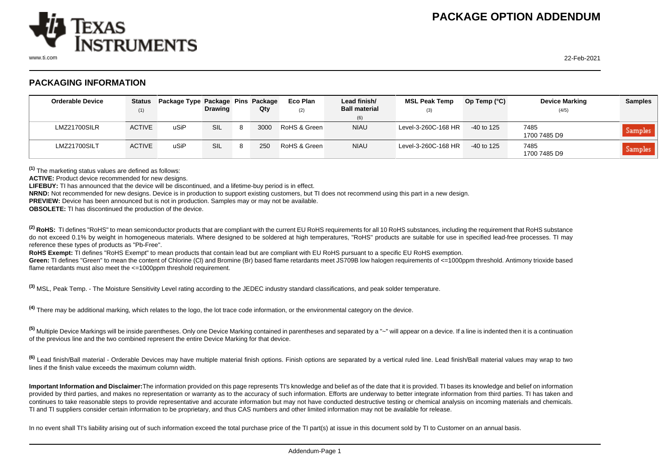

www.ti.com 22-Feb-2021

## **PACKAGING INFORMATION**

| <b>Orderable Device</b> | (1)           | Status Package Type Package Pins Package | <b>Drawing</b> | Qty  | Eco Plan<br>(2) | Lead finish/<br><b>Ball material</b><br>(6) | <b>MSL Peak Temp</b><br>(3) | Op Temp $(^{\circ}C)$ | <b>Device Marking</b><br>(4/5) | <b>Samples</b> |
|-------------------------|---------------|------------------------------------------|----------------|------|-----------------|---------------------------------------------|-----------------------------|-----------------------|--------------------------------|----------------|
| LMZ21700SILR            | <b>ACTIVE</b> | uSiP                                     | SIL            | 3000 | RoHS & Green    | <b>NIAU</b>                                 | Level-3-260C-168 HR         | -40 to 125            | 7485<br>1700 7485 D9           | Samples        |
| LMZ21700SILT            | <b>ACTIVE</b> | uSiP                                     | SIL            | 250  | RoHS & Green    | <b>NIAU</b>                                 | Level-3-260C-168 HR         | $-40$ to 125          | 7485<br>1700 7485 D9           | Samples        |

**(1)** The marketing status values are defined as follows:

ACTIVE: Product device recommended for new designs.

**LIFEBUY:** TI has announced that the device will be discontinued, and a lifetime-buy period is in effect.

**NRND:** Not recommended for new designs. Device is in production to support existing customers, but TI does not recommend using this part in a new design.

**PREVIEW:** Device has been announced but is not in production. Samples may or may not be available.

**OBSOLETE:** TI has discontinued the production of the device.

<sup>(2)</sup> RoHS: TI defines "RoHS" to mean semiconductor products that are compliant with the current EU RoHS requirements for all 10 RoHS substances, including the requirement that RoHS substance do not exceed 0.1% by weight in homogeneous materials. Where designed to be soldered at high temperatures, "RoHS" products are suitable for use in specified lead-free processes. TI may reference these types of products as "Pb-Free".

RoHS Exempt: TI defines "RoHS Exempt" to mean products that contain lead but are compliant with EU RoHS pursuant to a specific EU RoHS exemption.

Green: TI defines "Green" to mean the content of Chlorine (CI) and Bromine (Br) based flame retardants meet JS709B low halogen requirements of <=1000ppm threshold. Antimony trioxide based flame retardants must also meet the <=1000ppm threshold requirement.

**(3)** MSL, Peak Temp. - The Moisture Sensitivity Level rating according to the JEDEC industry standard classifications, and peak solder temperature.

**(4)** There may be additional marking, which relates to the logo, the lot trace code information, or the environmental category on the device.

**(5)** Multiple Device Markings will be inside parentheses. Only one Device Marking contained in parentheses and separated by a "~" will appear on a device. If a line is indented then it is a continuation of the previous line and the two combined represent the entire Device Marking for that device.

**(6)** Lead finish/Ball material - Orderable Devices may have multiple material finish options. Finish options are separated by a vertical ruled line. Lead finish/Ball material values may wrap to two lines if the finish value exceeds the maximum column width.

**Important Information and Disclaimer:**The information provided on this page represents TI's knowledge and belief as of the date that it is provided. TI bases its knowledge and belief on information provided by third parties, and makes no representation or warranty as to the accuracy of such information. Efforts are underway to better integrate information from third parties. TI has taken and continues to take reasonable steps to provide representative and accurate information but may not have conducted destructive testing or chemical analysis on incoming materials and chemicals. TI and TI suppliers consider certain information to be proprietary, and thus CAS numbers and other limited information may not be available for release.

In no event shall TI's liability arising out of such information exceed the total purchase price of the TI part(s) at issue in this document sold by TI to Customer on an annual basis.